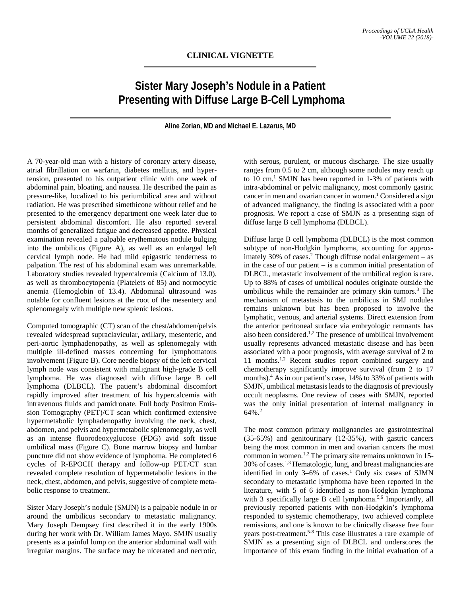## **Sister Mary Joseph's Nodule in a Patient Presenting with Diffuse Large B-Cell Lymphoma**

**Aline Zorian, MD and Michael E. Lazarus, MD**

A 70-year-old man with a history of coronary artery disease, atrial fibrillation on warfarin, diabetes mellitus, and hypertension, presented to his outpatient clinic with one week of abdominal pain, bloating, and nausea. He described the pain as pressure-like, localized to his periumbilical area and without radiation. He was prescribed simethicone without relief and he presented to the emergency department one week later due to persistent abdominal discomfort. He also reported several months of generalized fatigue and decreased appetite. Physical examination revealed a palpable erythematous nodule bulging into the umbilicus (Figure A), as well as an enlarged left cervical lymph node. He had mild epigastric tenderness to palpation. The rest of his abdominal exam was unremarkable. Laboratory studies revealed hypercalcemia (Calcium of 13.0), as well as thrombocytopenia (Platelets of 85) and normocytic anemia (Hemoglobin of 13.4). Abdominal ultrasound was notable for confluent lesions at the root of the mesentery and splenomegaly with multiple new splenic lesions.

Computed tomographic (CT) scan of the chest/abdomen/pelvis revealed widespread supraclavicular, axillary, mesenteric, and peri-aortic lymphadenopathy, as well as splenomegaly with multiple ill-defined masses concerning for lymphomatous involvement (Figure B). Core needle biopsy of the left cervical lymph node was consistent with malignant high-grade B cell lymphoma. He was diagnosed with diffuse large B cell lymphoma (DLBCL). The patient's abdominal discomfort rapidly improved after treatment of his hypercalcemia with intravenous fluids and pamidronate. Full body Positron Emission Tomography (PET)/CT scan which confirmed extensive hypermetabolic lymphadenopathy involving the neck, chest, abdomen, and pelvis and hypermetabolic splenomegaly, as well as an intense fluorodeoxyglucose **(**FDG) avid soft tissue umbilical mass (Figure C). Bone marrow biopsy and lumbar puncture did not show evidence of lymphoma. He completed 6 cycles of R-EPOCH therapy and follow-up PET/CT scan revealed complete resolution of hypermetabolic lesions in the neck, chest, abdomen, and pelvis, suggestive of complete metabolic response to treatment.

Sister Mary Joseph's nodule (SMJN) is a palpable nodule in or around the umbilicus secondary to metastatic malignancy. Mary Joseph Dempsey first described it in the early 1900s during her work with Dr. William James Mayo. SMJN usually presents as a painful lump on the anterior abdominal wall with irregular margins. The surface may be ulcerated and necrotic,

with serous, purulent, or mucous discharge. The size usually ranges from 0.5 to 2 cm, although some nodules may reach up to 10 cm. <sup>1</sup> SMJN has been reported in 1-3% of patients with intra-abdominal or pelvic malignancy, most commonly gastric cancer in men and ovarian cancer in women.<sup>1</sup> Considered a sign of advanced malignancy, the finding is associated with a poor prognosis. We report a case of SMJN as a presenting sign of diffuse large B cell lymphoma (DLBCL).

Diffuse large B cell lymphoma (DLBCL) is the most common subtype of non-Hodgkin lymphoma, accounting for approximately 30% of cases. <sup>2</sup> Though diffuse nodal enlargement – as in the case of our patient – is a common initial presentation of DLBCL, metastatic involvement of the umbilical region is rare. Up to 88% of cases of umbilical nodules originate outside the umbilicus while the remainder are primary skin tumors. <sup>3</sup> The mechanism of metastasis to the umbilicus in SMJ nodules remains unknown but has been proposed to involve the lymphatic, venous, and arterial systems. Direct extension from the anterior peritoneal surface via embryologic remnants has also been considered. 1,2 The presence of umbilical involvement usually represents advanced metastatic disease and has been associated with a poor prognosis, with average survival of 2 to 11 months.<sup>1,2</sup> Recent studies report combined surgery and chemotherapy significantly improve survival (from 2 to 17 months).<sup>4</sup> As in our patient's case, 14% to 33% of patients with SMJN, umbilical metastasis leads to the diagnosis of previously occult neoplasms. One review of cases with SMJN, reported was the only initial presentation of internal malignancy in 64%. 2

The most common primary malignancies are gastrointestinal (35-65%) and genitourinary (12-35%), with gastric cancers being the most common in men and ovarian cancers the most common in women.<sup>1,2</sup> The primary site remains unknown in 15- $30\%$  of cases.<sup>1,3</sup> Hematologic, lung, and breast malignancies are identified in only 3–6% of cases. <sup>1</sup> Only six cases of SJMN secondary to metastatic lymphoma have been reported in the literature, with 5 of 6 identified as non-Hodgkin lymphoma with 3 specifically large B cell lymphoma. 5,6 Importantly, all previously reported patients with non-Hodgkin's lymphoma responded to systemic chemotherapy, two achieved complete remissions, and one is known to be clinically disease free four years post-treatment. 5-8 This case illustrates a rare example of SMJN as a presenting sign of DLBCL and underscores the importance of this exam finding in the initial evaluation of a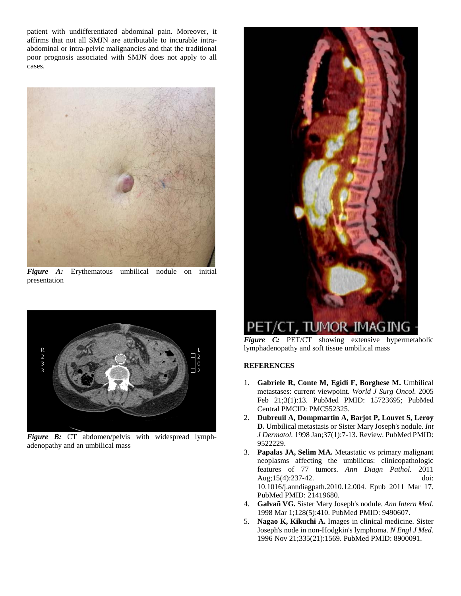patient with undifferentiated abdominal pain. Moreover, it affirms that not all SMJN are attributable to incurable intraabdominal or intra-pelvic malignancies and that the traditional poor prognosis associated with SMJN does not apply to all cases.



*Figure A:* Erythematous umbilical nodule on initial presentation



*Figure B:* CT abdomen/pelvis with widespread lymphadenopathy and an umbilical mass



*Figure C:* PET/CT showing extensive hypermetabolic lymphadenopathy and soft tissue umbilical mass

## **REFERENCES**

- 1. **Gabriele R, Conte M, Egidi F, Borghese M.** Umbilical metastases: current viewpoint. *World J Surg Oncol.* 2005 Feb 21;3(1):13. PubMed PMID: 15723695; PubMed Central PMCID: PMC552325.
- 2. **Dubreuil A, Dompmartin A, Barjot P, Louvet S, Leroy D.** Umbilical metastasis or Sister Mary Joseph's nodule. *Int J Dermatol.* 1998 Jan;37(1):7-13. Review. PubMed PMID: 9522229.
- 3. **Papalas JA, Selim MA.** Metastatic vs primary malignant neoplasms affecting the umbilicus: clinicopathologic features of 77 tumors. *Ann Diagn Pathol.* 2011 Aug;15(4):237-42. doi: 10.1016/j.anndiagpath.2010.12.004. Epub 2011 Mar 17. PubMed PMID: 21419680.
- 4. **Galvañ VG.** Sister Mary Joseph's nodule. *Ann Intern Med.* 1998 Mar 1;128(5):410. PubMed PMID: 9490607.
- 5. **Nagao K, Kikuchi A.** Images in clinical medicine. Sister Joseph's node in non-Hodgkin's lymphoma. *N Engl J Med.* 1996 Nov 21;335(21):1569. PubMed PMID: 8900091.